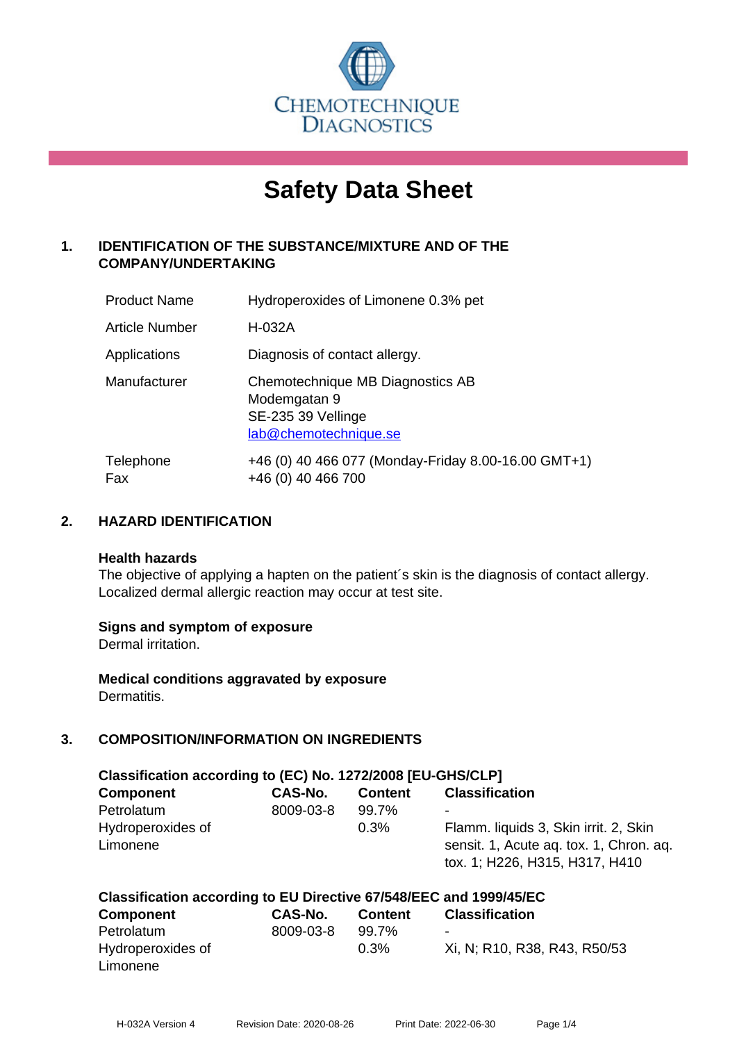

# **Safety Data Sheet**

# **1. IDENTIFICATION OF THE SUBSTANCE/MIXTURE AND OF THE COMPANY/UNDERTAKING**

| <b>Product Name</b> | Hydroperoxides of Limonene 0.3% pet                                                             |
|---------------------|-------------------------------------------------------------------------------------------------|
| Article Number      | H-032A                                                                                          |
| Applications        | Diagnosis of contact allergy.                                                                   |
| Manufacturer        | Chemotechnique MB Diagnostics AB<br>Modemgatan 9<br>SE-235 39 Vellinge<br>lab@chemotechnique.se |
| Telephone<br>Fax    | +46 (0) 40 466 077 (Monday-Friday 8.00-16.00 GMT+1)<br>+46 (0) 40 466 700                       |

## **2. HAZARD IDENTIFICATION**

#### **Health hazards**

The objective of applying a hapten on the patient's skin is the diagnosis of contact allergy. Localized dermal allergic reaction may occur at test site.

#### **Signs and symptom of exposure**

Dermal irritation.

**Medical conditions aggravated by exposure** Dermatitis.

# **3. COMPOSITION/INFORMATION ON INGREDIENTS**

| Classification according to (EC) No. 1272/2008 [EU-GHS/CLP] |           |                |                                                                                                                    |  |  |
|-------------------------------------------------------------|-----------|----------------|--------------------------------------------------------------------------------------------------------------------|--|--|
| <b>Component</b>                                            | CAS-No.   | <b>Content</b> | <b>Classification</b>                                                                                              |  |  |
| Petrolatum                                                  | 8009-03-8 | 99.7%          | ۰                                                                                                                  |  |  |
| Hydroperoxides of<br>Limonene                               |           | 0.3%           | Flamm. liquids 3, Skin irrit. 2, Skin<br>sensit. 1, Acute ag. tox. 1, Chron. ag.<br>tox. 1; H226, H315, H317, H410 |  |  |

| Classification according to EU Directive 67/548/EEC and 1999/45/EC |           |                |                              |  |
|--------------------------------------------------------------------|-----------|----------------|------------------------------|--|
| <b>Component</b>                                                   | CAS-No.   | <b>Content</b> | <b>Classification</b>        |  |
| Petrolatum                                                         | 8009-03-8 | 99.7%          | $\overline{\phantom{0}}$     |  |
| Hydroperoxides of                                                  |           | $0.3\%$        | Xi, N; R10, R38, R43, R50/53 |  |
| Limonene                                                           |           |                |                              |  |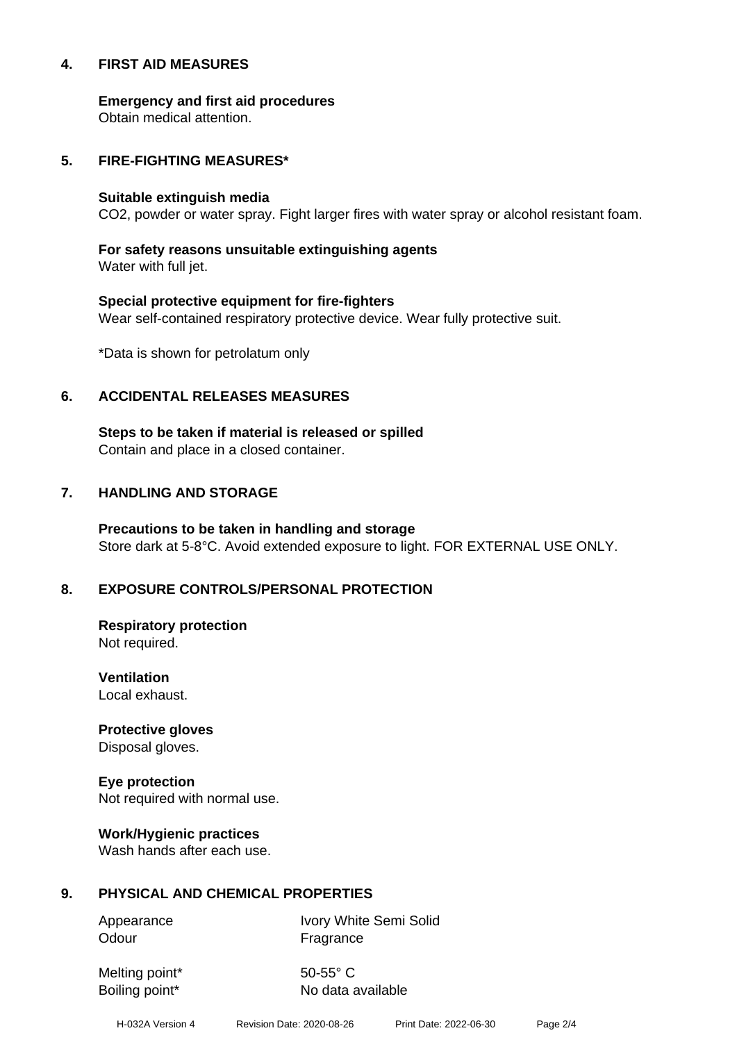#### **4. FIRST AID MEASURES**

**Emergency and first aid procedures**

Obtain medical attention.

#### **5. FIRE-FIGHTING MEASURES\***

#### **Suitable extinguish media**

CO2, powder or water spray. Fight larger fires with water spray or alcohol resistant foam.

# **For safety reasons unsuitable extinguishing agents**

Water with full jet.

# **Special protective equipment for fire-fighters** Wear self-contained respiratory protective device. Wear fully protective suit.

\*Data is shown for petrolatum only

## **6. ACCIDENTAL RELEASES MEASURES**

**Steps to be taken if material is released or spilled** Contain and place in a closed container.

# **7. HANDLING AND STORAGE**

**Precautions to be taken in handling and storage** Store dark at 5-8°C. Avoid extended exposure to light. FOR EXTERNAL USE ONLY.

# **8. EXPOSURE CONTROLS/PERSONAL PROTECTION**

**Respiratory protection** Not required.

**Ventilation** Local exhaust.

**Protective gloves** Disposal gloves.

# **Eye protection**

Not required with normal use.

#### **Work/Hygienic practices**

Wash hands after each use.

#### **9. PHYSICAL AND CHEMICAL PROPERTIES**

Odour **Fragrance** 

Appearance Ivory White Semi Solid

Melting point\* 50-55° C

Boiling point\* No data available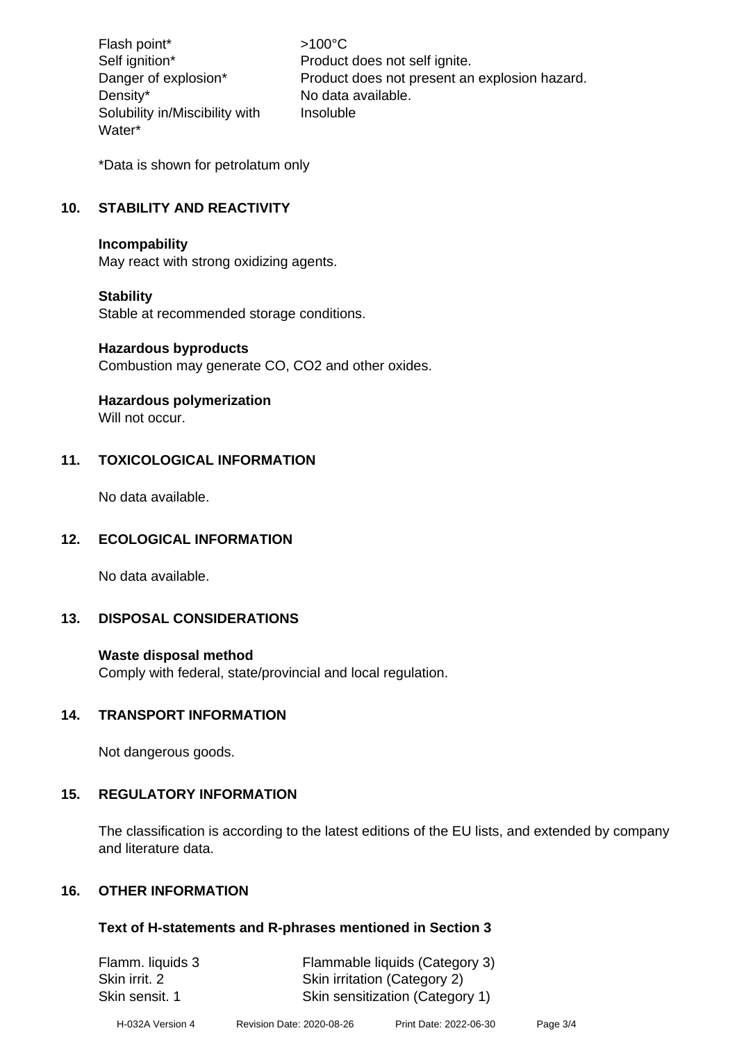Flash point\* >100°C Density\* No data available. Solubility in/Miscibility with Water\*

Self ignition\* Product does not self ignite. Danger of explosion\* Product does not present an explosion hazard. Insoluble

\*Data is shown for petrolatum only

# **10. STABILITY AND REACTIVITY**

#### **Incompability**

May react with strong oxidizing agents.

#### **Stability**

Stable at recommended storage conditions.

#### **Hazardous byproducts**

Combustion may generate CO, CO2 and other oxides.

#### **Hazardous polymerization**

Will not occur.

#### **11. TOXICOLOGICAL INFORMATION**

No data available.

#### **12. ECOLOGICAL INFORMATION**

No data available.

#### **13. DISPOSAL CONSIDERATIONS**

#### **Waste disposal method**

Comply with federal, state/provincial and local regulation.

#### **14. TRANSPORT INFORMATION**

Not dangerous goods.

#### **15. REGULATORY INFORMATION**

The classification is according to the latest editions of the EU lists, and extended by company and literature data.

#### **16. OTHER INFORMATION**

#### **Text of H-statements and R-phrases mentioned in Section 3**

Flamm. liquids 3 Flammable liquids (Category 3) Skin irrit. 2 Skin irritation (Category 2) Skin sensit. 1 Skin sensitization (Category 1)